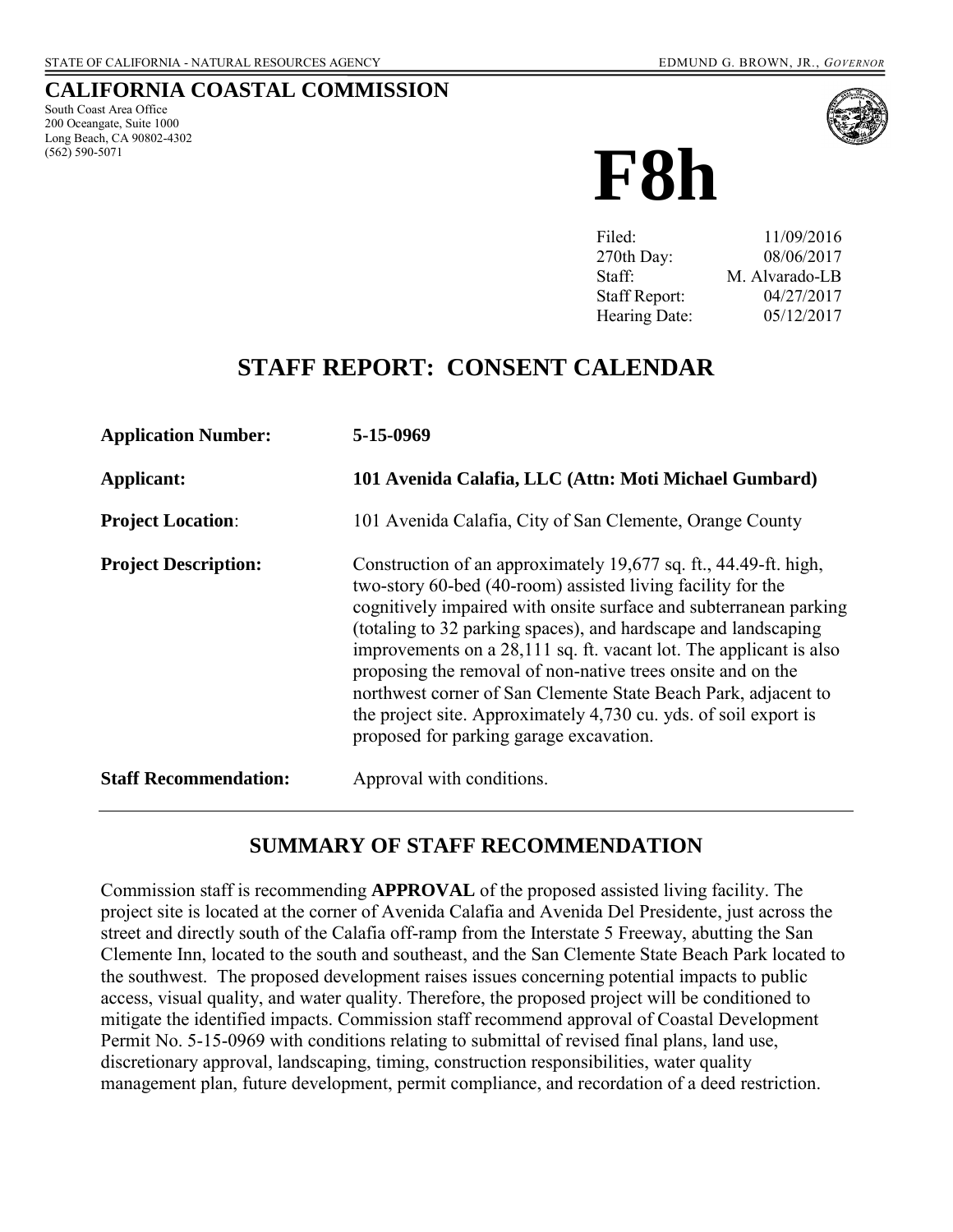### **CALIFORNIA COASTAL COMMISSION**

South Coast Area Office 200 Oceangate, Suite 1000 Long Beach, CA 90802-4302 (562) 590-5071



**F8h**

| Filed:               | 11/09/2016     |
|----------------------|----------------|
| 270th Day:           | 08/06/2017     |
| Staff:               | M. Alvarado-LB |
| <b>Staff Report:</b> | 04/27/2017     |
| Hearing Date:        | 05/12/2017     |

# **STAFF REPORT: CONSENT CALENDAR**

| <b>Application Number:</b>   | 5-15-0969                                                                                                                                                                                                                                                                                                                                                                                                                                                                                                                                                                                    |
|------------------------------|----------------------------------------------------------------------------------------------------------------------------------------------------------------------------------------------------------------------------------------------------------------------------------------------------------------------------------------------------------------------------------------------------------------------------------------------------------------------------------------------------------------------------------------------------------------------------------------------|
| Applicant:                   | 101 Avenida Calafia, LLC (Attn: Moti Michael Gumbard)                                                                                                                                                                                                                                                                                                                                                                                                                                                                                                                                        |
| <b>Project Location:</b>     | 101 Avenida Calafia, City of San Clemente, Orange County                                                                                                                                                                                                                                                                                                                                                                                                                                                                                                                                     |
| <b>Project Description:</b>  | Construction of an approximately 19,677 sq. ft., 44.49-ft. high,<br>two-story 60-bed (40-room) assisted living facility for the<br>cognitively impaired with onsite surface and subterranean parking<br>(totaling to 32 parking spaces), and hardscape and landscaping<br>improvements on a 28,111 sq. ft. vacant lot. The applicant is also<br>proposing the removal of non-native trees onsite and on the<br>northwest corner of San Clemente State Beach Park, adjacent to<br>the project site. Approximately 4,730 cu. yds. of soil export is<br>proposed for parking garage excavation. |
| <b>Staff Recommendation:</b> | Approval with conditions.                                                                                                                                                                                                                                                                                                                                                                                                                                                                                                                                                                    |

# **SUMMARY OF STAFF RECOMMENDATION**

Commission staff is recommending **APPROVAL** of the proposed assisted living facility. The project site is located at the corner of Avenida Calafia and Avenida Del Presidente, just across the street and directly south of the Calafia off-ramp from the Interstate 5 Freeway, abutting the San Clemente Inn, located to the south and southeast, and the San Clemente State Beach Park located to the southwest. The proposed development raises issues concerning potential impacts to public access, visual quality, and water quality. Therefore, the proposed project will be conditioned to mitigate the identified impacts. Commission staff recommend approval of Coastal Development Permit No. 5-15-0969 with conditions relating to submittal of revised final plans, land use, discretionary approval, landscaping, timing, construction responsibilities, water quality management plan, future development, permit compliance, and recordation of a deed restriction.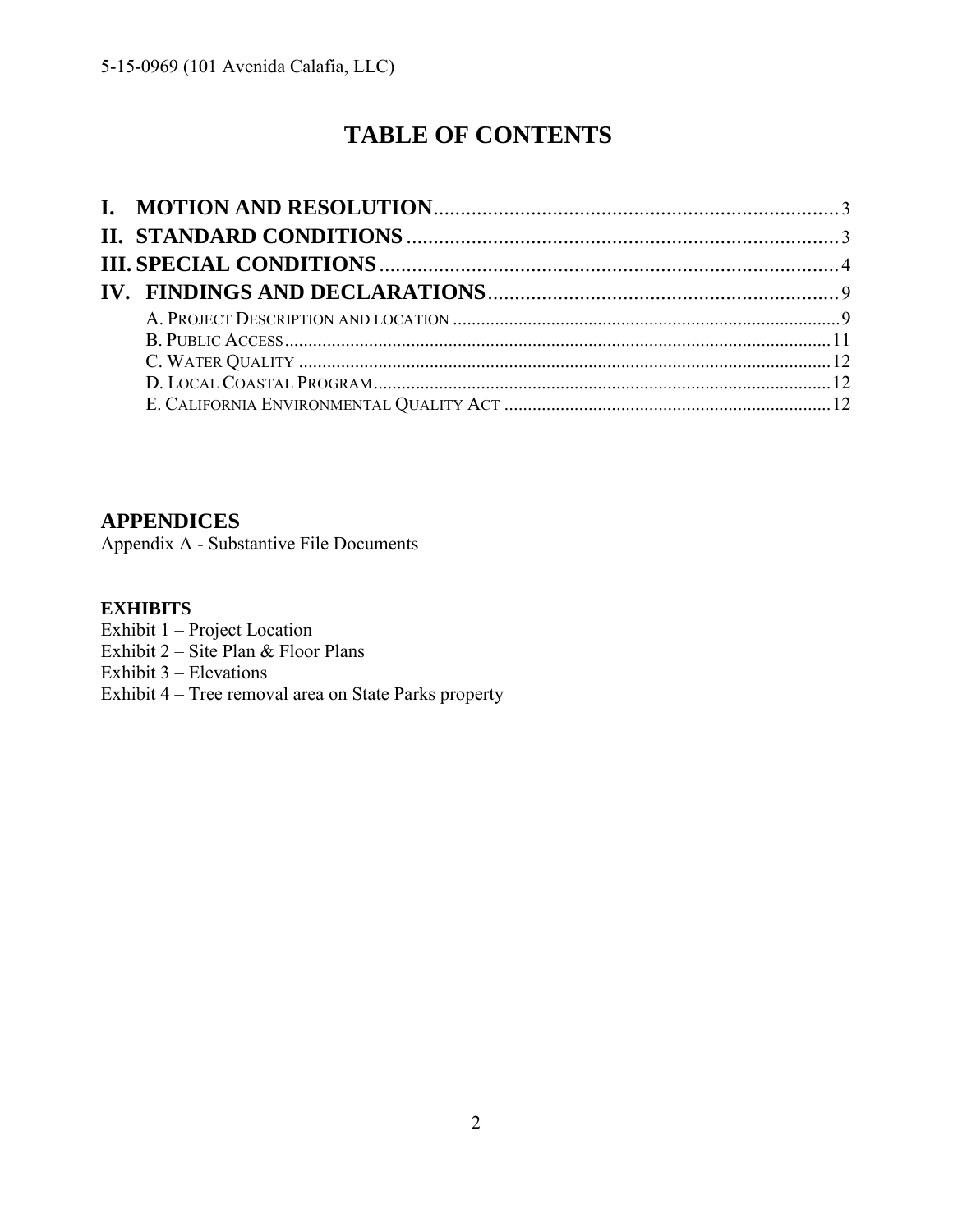# **TABLE OF CONTENTS**

**APPENDICES** 

[Appendix A - Substantive File Documents](#page-11-3) 

## **EXHIBITS**

Exhibit 1 – Project Location

Exhibit  $2 - \text{Site Plan} \& \text{ Floor Plans}$ 

Exhibit 3 – Elevations

Exhibit 4 – [Tree removal area on State Parks property](https://documents.coastal.ca.gov/reports/2017/5/F8h/F8h-5-2017-exhibits.pdf)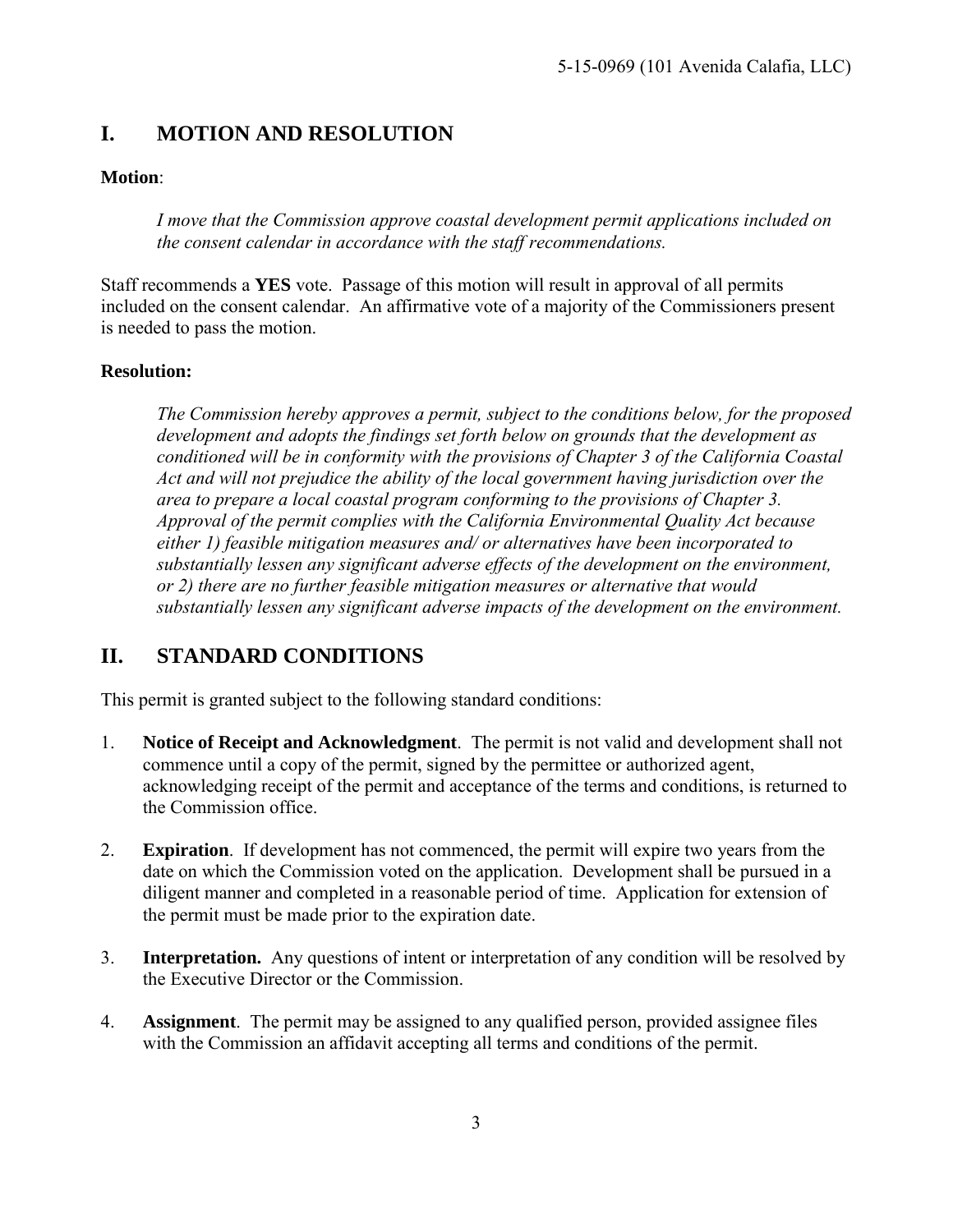# <span id="page-2-0"></span>**I. MOTION AND RESOLUTION**

## **Motion**:

*I move that the Commission approve coastal development permit applications included on the consent calendar in accordance with the staff recommendations.* 

Staff recommends a **YES** vote. Passage of this motion will result in approval of all permits included on the consent calendar. An affirmative vote of a majority of the Commissioners present is needed to pass the motion.

### **Resolution:**

*The Commission hereby approves a permit, subject to the conditions below, for the proposed development and adopts the findings set forth below on grounds that the development as conditioned will be in conformity with the provisions of Chapter 3 of the California Coastal Act and will not prejudice the ability of the local government having jurisdiction over the area to prepare a local coastal program conforming to the provisions of Chapter 3. Approval of the permit complies with the California Environmental Quality Act because either 1) feasible mitigation measures and/ or alternatives have been incorporated to substantially lessen any significant adverse effects of the development on the environment, or 2) there are no further feasible mitigation measures or alternative that would substantially lessen any significant adverse impacts of the development on the environment.* 

# <span id="page-2-1"></span>**II. STANDARD CONDITIONS**

This permit is granted subject to the following standard conditions:

- 1. **Notice of Receipt and Acknowledgment**. The permit is not valid and development shall not commence until a copy of the permit, signed by the permittee or authorized agent, acknowledging receipt of the permit and acceptance of the terms and conditions, is returned to the Commission office.
- 2. **Expiration**. If development has not commenced, the permit will expire two years from the date on which the Commission voted on the application. Development shall be pursued in a diligent manner and completed in a reasonable period of time. Application for extension of the permit must be made prior to the expiration date.
- 3. **Interpretation.** Any questions of intent or interpretation of any condition will be resolved by the Executive Director or the Commission.
- 4. **Assignment**. The permit may be assigned to any qualified person, provided assignee files with the Commission an affidavit accepting all terms and conditions of the permit.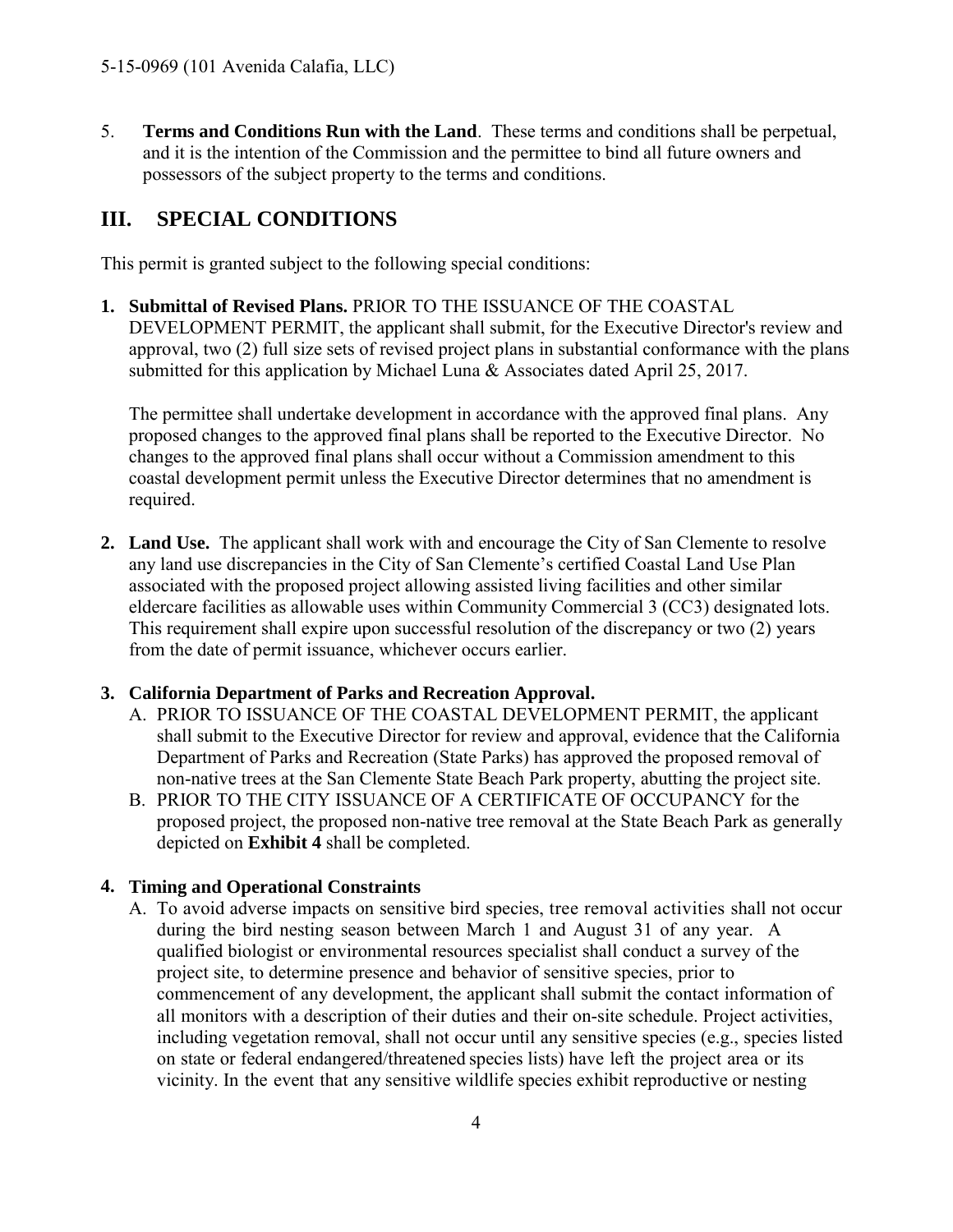5. **Terms and Conditions Run with the Land**. These terms and conditions shall be perpetual, and it is the intention of the Commission and the permittee to bind all future owners and possessors of the subject property to the terms and conditions.

# <span id="page-3-0"></span>**III. SPECIAL CONDITIONS**

This permit is granted subject to the following special conditions:

**1. Submittal of Revised Plans.** PRIOR TO THE ISSUANCE OF THE COASTAL DEVELOPMENT PERMIT, the applicant shall submit, for the Executive Director's review and approval, two (2) full size sets of revised project plans in substantial conformance with the plans submitted for this application by Michael Luna & Associates dated April 25, 2017.

The permittee shall undertake development in accordance with the approved final plans. Any proposed changes to the approved final plans shall be reported to the Executive Director. No changes to the approved final plans shall occur without a Commission amendment to this coastal development permit unless the Executive Director determines that no amendment is required.

**2. Land Use.** The applicant shall work with and encourage the City of San Clemente to resolve any land use discrepancies in the City of San Clemente's certified Coastal Land Use Plan associated with the proposed project allowing assisted living facilities and other similar eldercare facilities as allowable uses within Community Commercial 3 (CC3) designated lots. This requirement shall expire upon successful resolution of the discrepancy or two (2) years from the date of permit issuance, whichever occurs earlier.

# **3. California Department of Parks and Recreation Approval.**

- A. PRIOR TO ISSUANCE OF THE COASTAL DEVELOPMENT PERMIT, the applicant shall submit to the Executive Director for review and approval, evidence that the California Department of Parks and Recreation (State Parks) has approved the proposed removal of non-native trees at the San Clemente State Beach Park property, abutting the project site.
- B. PRIOR TO THE CITY ISSUANCE OF A CERTIFICATE OF OCCUPANCY for the proposed project, the proposed non-native tree removal at the State Beach Park as generally depicted on **[Exhibit 4](https://documents.coastal.ca.gov/reports/2017/5/F8h/F8h-5-2017-exhibits.pdf)** shall be completed.

# **4. Timing and Operational Constraints**

A. To avoid adverse impacts on sensitive bird species, tree removal activities shall not occur during the bird nesting season between March 1 and August 31 of any year. A qualified biologist or environmental resources specialist shall conduct a survey of the project site, to determine presence and behavior of sensitive species, prior to commencement of any development, the applicant shall submit the contact information of all monitors with a description of their duties and their on-site schedule. Project activities, including vegetation removal, shall not occur until any sensitive species (e.g., species listed on state or federal endangered/threatened species lists) have left the project area or its vicinity. In the event that any sensitive wildlife species exhibit reproductive or nesting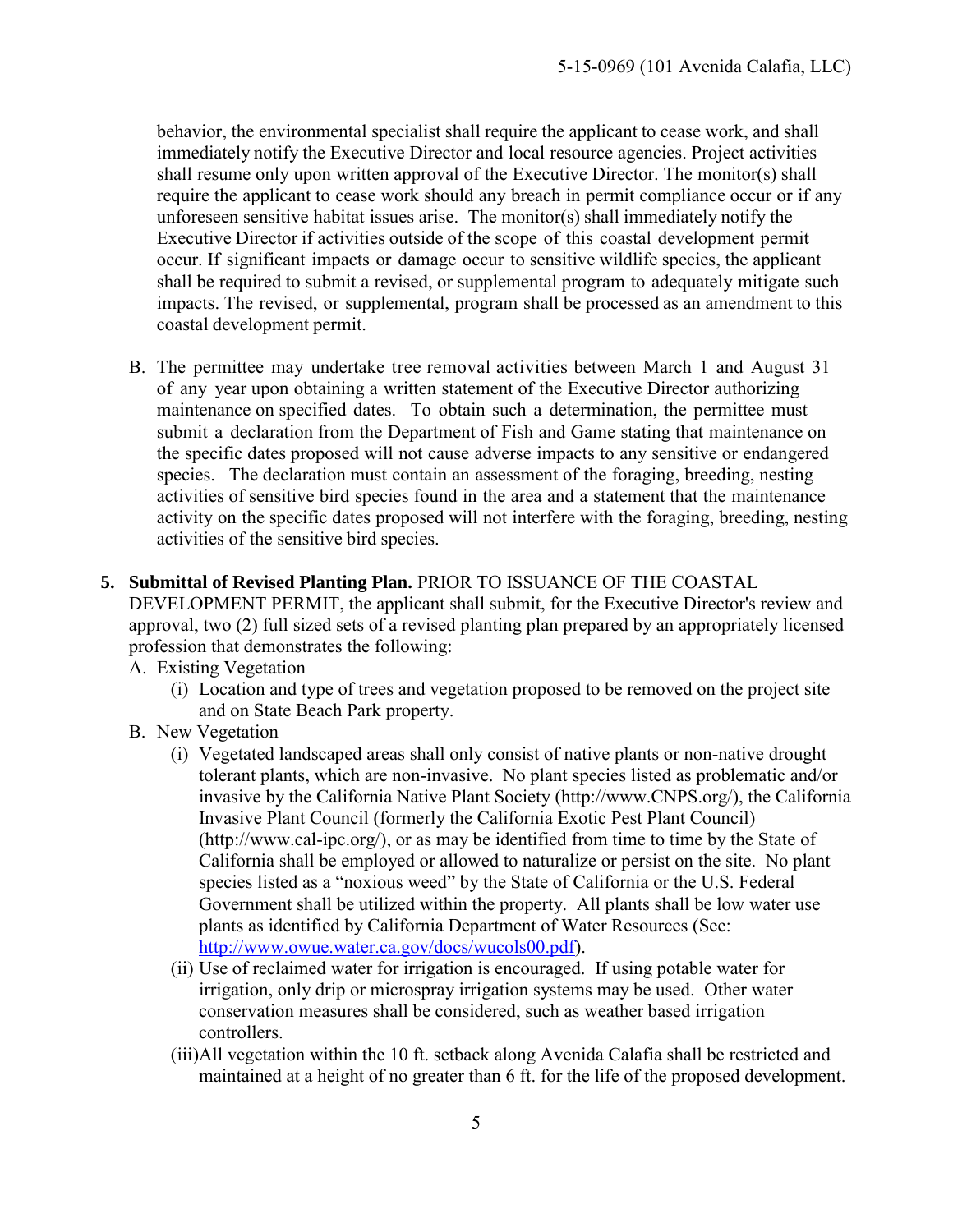behavior, the environmental specialist shall require the applicant to cease work, and shall immediately notify the Executive Director and local resource agencies. Project activities shall resume only upon written approval of the Executive Director. The monitor(s) shall require the applicant to cease work should any breach in permit compliance occur or if any unforeseen sensitive habitat issues arise. The monitor(s) shall immediately notify the Executive Director if activities outside of the scope of this coastal development permit occur. If significant impacts or damage occur to sensitive wildlife species, the applicant shall be required to submit a revised, or supplemental program to adequately mitigate such impacts. The revised, or supplemental, program shall be processed as an amendment to this coastal development permit.

- B. The permittee may undertake tree removal activities between March 1 and August 31 of any year upon obtaining a written statement of the Executive Director authorizing maintenance on specified dates. To obtain such a determination, the permittee must submit a declaration from the Department of Fish and Game stating that maintenance on the specific dates proposed will not cause adverse impacts to any sensitive or endangered species. The declaration must contain an assessment of the foraging, breeding, nesting activities of sensitive bird species found in the area and a statement that the maintenance activity on the specific dates proposed will not interfere with the foraging, breeding, nesting activities of the sensitive bird species.
- **5. Submittal of Revised Planting Plan.** PRIOR TO ISSUANCE OF THE COASTAL

DEVELOPMENT PERMIT, the applicant shall submit, for the Executive Director's review and approval, two (2) full sized sets of a revised planting plan prepared by an appropriately licensed profession that demonstrates the following:

- A. Existing Vegetation
	- (i) Location and type of trees and vegetation proposed to be removed on the project site and on State Beach Park property.
- B. New Vegetation
	- (i) Vegetated landscaped areas shall only consist of native plants or non-native drought tolerant plants, which are non-invasive. No plant species listed as problematic and/or invasive by the California Native Plant Society (http://www.CNPS.org/), the California Invasive Plant Council (formerly the California Exotic Pest Plant Council) (http://www.cal-ipc.org/), or as may be identified from time to time by the State of California shall be employed or allowed to naturalize or persist on the site. No plant species listed as a "noxious weed" by the State of California or the U.S. Federal Government shall be utilized within the property. All plants shall be low water use plants as identified by California Department of Water Resources (See: [http://www.owue.water.ca.gov/docs/wucols00.pdf\)](http://www.owue.water.ca.gov/docs/wucols00.pdf).
	- (ii) Use of reclaimed water for irrigation is encouraged. If using potable water for irrigation, only drip or microspray irrigation systems may be used. Other water conservation measures shall be considered, such as weather based irrigation controllers.
	- (iii)All vegetation within the 10 ft. setback along Avenida Calafia shall be restricted and maintained at a height of no greater than 6 ft. for the life of the proposed development.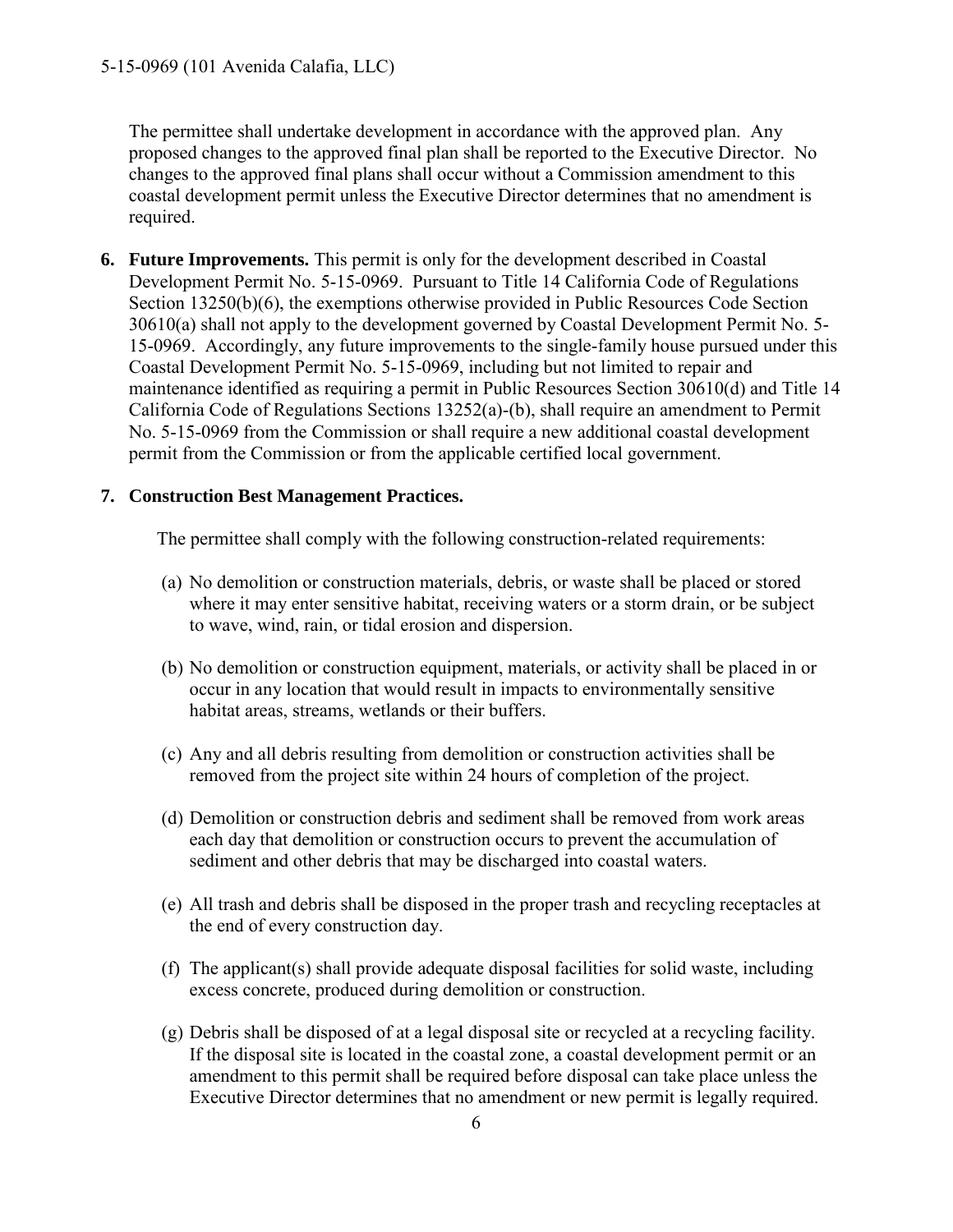The permittee shall undertake development in accordance with the approved plan. Any proposed changes to the approved final plan shall be reported to the Executive Director. No changes to the approved final plans shall occur without a Commission amendment to this coastal development permit unless the Executive Director determines that no amendment is required.

**6. Future Improvements.** This permit is only for the development described in Coastal Development Permit No. 5-15-0969. Pursuant to Title 14 California Code of Regulations Section 13250(b)(6), the exemptions otherwise provided in Public Resources Code Section 30610(a) shall not apply to the development governed by Coastal Development Permit No. 5- 15-0969. Accordingly, any future improvements to the single-family house pursued under this Coastal Development Permit No. 5-15-0969, including but not limited to repair and maintenance identified as requiring a permit in Public Resources Section 30610(d) and Title 14 California Code of Regulations Sections 13252(a)-(b), shall require an amendment to Permit No. 5-15-0969 from the Commission or shall require a new additional coastal development permit from the Commission or from the applicable certified local government.

#### **7. Construction Best Management Practices.**

The permittee shall comply with the following construction-related requirements:

- (a) No demolition or construction materials, debris, or waste shall be placed or stored where it may enter sensitive habitat, receiving waters or a storm drain, or be subject to wave, wind, rain, or tidal erosion and dispersion.
- (b) No demolition or construction equipment, materials, or activity shall be placed in or occur in any location that would result in impacts to environmentally sensitive habitat areas, streams, wetlands or their buffers.
- (c) Any and all debris resulting from demolition or construction activities shall be removed from the project site within 24 hours of completion of the project.
- (d) Demolition or construction debris and sediment shall be removed from work areas each day that demolition or construction occurs to prevent the accumulation of sediment and other debris that may be discharged into coastal waters.
- (e) All trash and debris shall be disposed in the proper trash and recycling receptacles at the end of every construction day.
- (f) The applicant(s) shall provide adequate disposal facilities for solid waste, including excess concrete, produced during demolition or construction.
- (g) Debris shall be disposed of at a legal disposal site or recycled at a recycling facility. If the disposal site is located in the coastal zone, a coastal development permit or an amendment to this permit shall be required before disposal can take place unless the Executive Director determines that no amendment or new permit is legally required.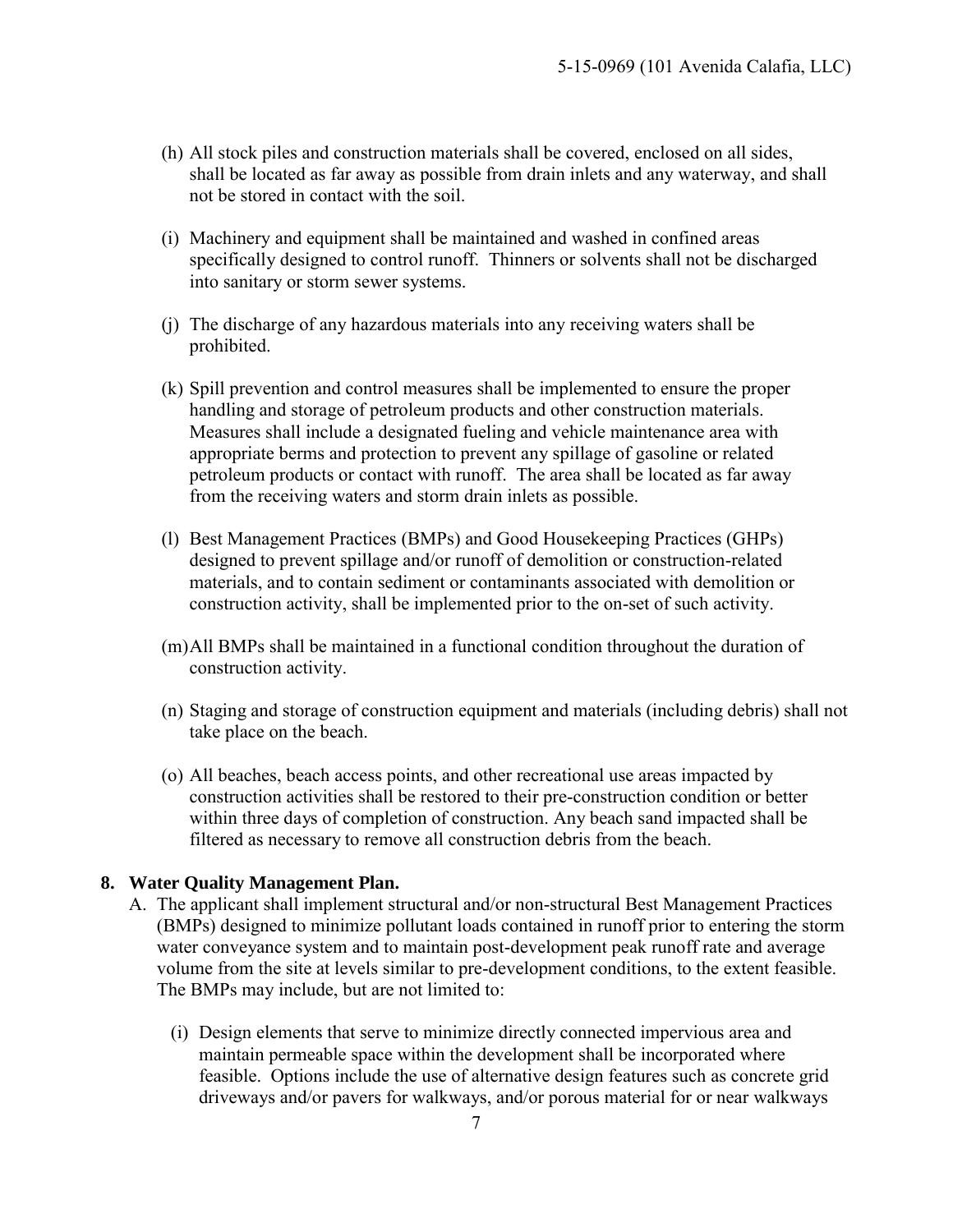- (h) All stock piles and construction materials shall be covered, enclosed on all sides, shall be located as far away as possible from drain inlets and any waterway, and shall not be stored in contact with the soil.
- (i) Machinery and equipment shall be maintained and washed in confined areas specifically designed to control runoff. Thinners or solvents shall not be discharged into sanitary or storm sewer systems.
- (j) The discharge of any hazardous materials into any receiving waters shall be prohibited.
- (k) Spill prevention and control measures shall be implemented to ensure the proper handling and storage of petroleum products and other construction materials. Measures shall include a designated fueling and vehicle maintenance area with appropriate berms and protection to prevent any spillage of gasoline or related petroleum products or contact with runoff. The area shall be located as far away from the receiving waters and storm drain inlets as possible.
- (l) Best Management Practices (BMPs) and Good Housekeeping Practices (GHPs) designed to prevent spillage and/or runoff of demolition or construction-related materials, and to contain sediment or contaminants associated with demolition or construction activity, shall be implemented prior to the on-set of such activity.
- (m)All BMPs shall be maintained in a functional condition throughout the duration of construction activity.
- (n) Staging and storage of construction equipment and materials (including debris) shall not take place on the beach.
- (o) All beaches, beach access points, and other recreational use areas impacted by construction activities shall be restored to their pre-construction condition or better within three days of completion of construction. Any beach sand impacted shall be filtered as necessary to remove all construction debris from the beach.

#### **8. Water Quality Management Plan.**

- A. The applicant shall implement structural and/or non-structural Best Management Practices (BMPs) designed to minimize pollutant loads contained in runoff prior to entering the storm water conveyance system and to maintain post-development peak runoff rate and average volume from the site at levels similar to pre-development conditions, to the extent feasible. The BMPs may include, but are not limited to:
	- (i) Design elements that serve to minimize directly connected impervious area and maintain permeable space within the development shall be incorporated where feasible. Options include the use of alternative design features such as concrete grid driveways and/or pavers for walkways, and/or porous material for or near walkways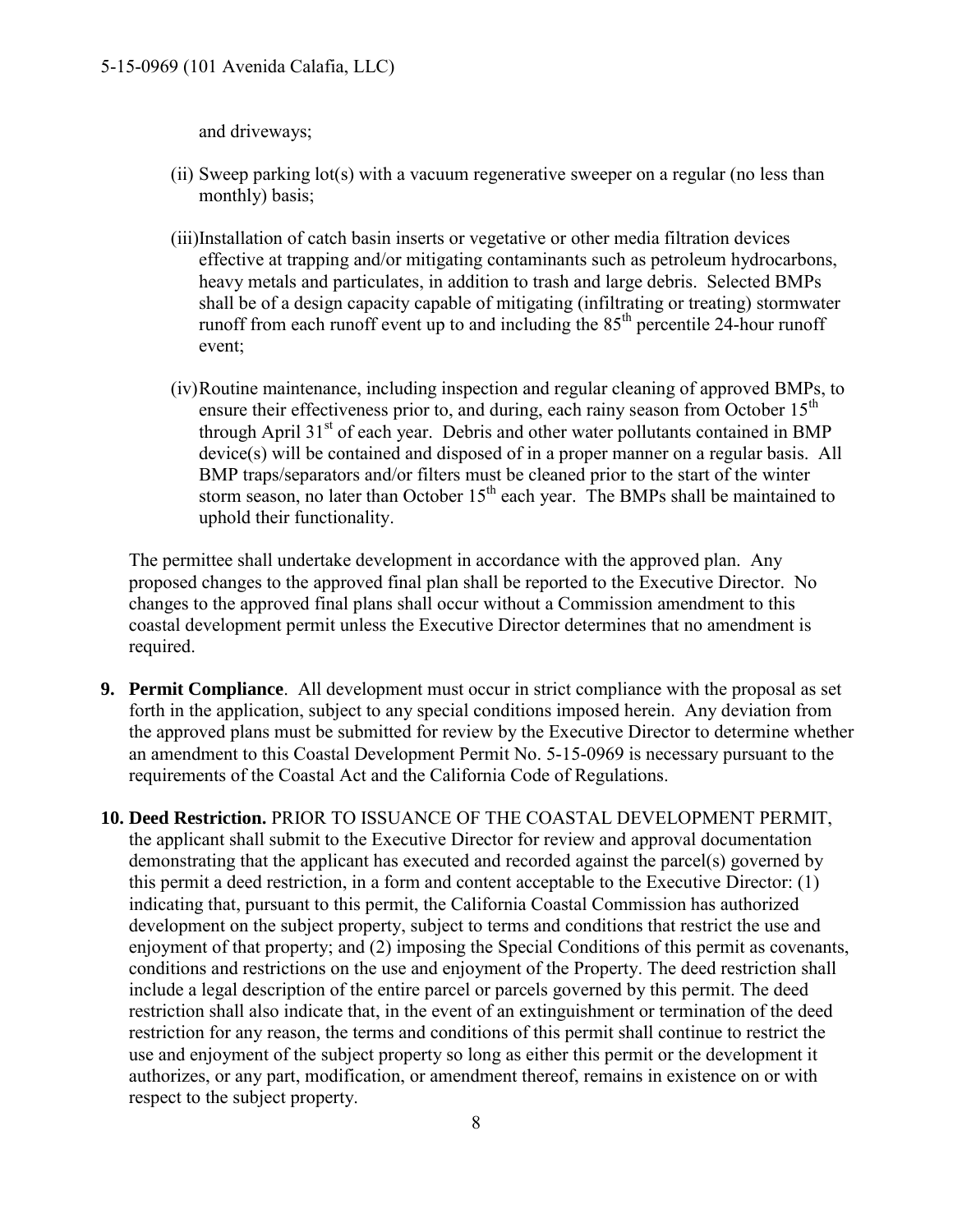and driveways;

- (ii) Sweep parking lot(s) with a vacuum regenerative sweeper on a regular (no less than monthly) basis;
- (iii)Installation of catch basin inserts or vegetative or other media filtration devices effective at trapping and/or mitigating contaminants such as petroleum hydrocarbons, heavy metals and particulates, in addition to trash and large debris. Selected BMPs shall be of a design capacity capable of mitigating (infiltrating or treating) stormwater runoff from each runoff event up to and including the  $85<sup>th</sup>$  percentile 24-hour runoff event;
- (iv)Routine maintenance, including inspection and regular cleaning of approved BMPs, to ensure their effectiveness prior to, and during, each rainy season from October  $15<sup>th</sup>$ through April  $31<sup>st</sup>$  of each year. Debris and other water pollutants contained in BMP device(s) will be contained and disposed of in a proper manner on a regular basis. All BMP traps/separators and/or filters must be cleaned prior to the start of the winter storm season, no later than October  $15<sup>th</sup>$  each year. The BMPs shall be maintained to uphold their functionality.

The permittee shall undertake development in accordance with the approved plan. Any proposed changes to the approved final plan shall be reported to the Executive Director. No changes to the approved final plans shall occur without a Commission amendment to this coastal development permit unless the Executive Director determines that no amendment is required.

- **9. Permit Compliance**. All development must occur in strict compliance with the proposal as set forth in the application, subject to any special conditions imposed herein. Any deviation from the approved plans must be submitted for review by the Executive Director to determine whether an amendment to this Coastal Development Permit No. 5-15-0969 is necessary pursuant to the requirements of the Coastal Act and the California Code of Regulations.
- **10. Deed Restriction.** PRIOR TO ISSUANCE OF THE COASTAL DEVELOPMENT PERMIT, the applicant shall submit to the Executive Director for review and approval documentation demonstrating that the applicant has executed and recorded against the parcel(s) governed by this permit a deed restriction, in a form and content acceptable to the Executive Director: (1) indicating that, pursuant to this permit, the California Coastal Commission has authorized development on the subject property, subject to terms and conditions that restrict the use and enjoyment of that property; and (2) imposing the Special Conditions of this permit as covenants, conditions and restrictions on the use and enjoyment of the Property. The deed restriction shall include a legal description of the entire parcel or parcels governed by this permit. The deed restriction shall also indicate that, in the event of an extinguishment or termination of the deed restriction for any reason, the terms and conditions of this permit shall continue to restrict the use and enjoyment of the subject property so long as either this permit or the development it authorizes, or any part, modification, or amendment thereof, remains in existence on or with respect to the subject property.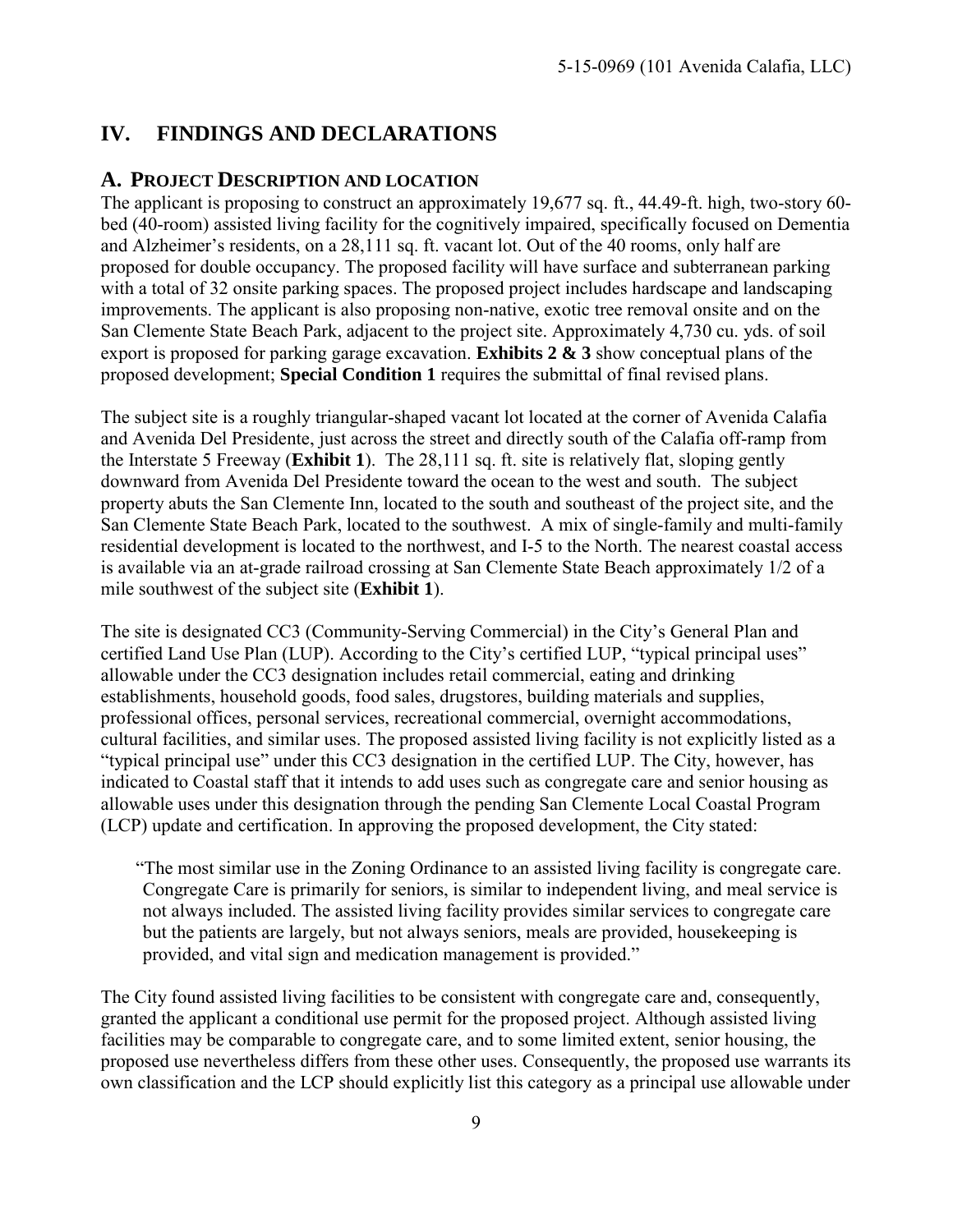# <span id="page-8-0"></span>**IV. FINDINGS AND DECLARATIONS**

## <span id="page-8-1"></span>**A. PROJECT DESCRIPTION AND LOCATION**

The applicant is proposing to construct an approximately 19,677 sq. ft., 44.49-ft. high, two-story 60 bed (40-room) assisted living facility for the cognitively impaired, specifically focused on Dementia and Alzheimer's residents, on a 28,111 sq. ft. vacant lot. Out of the 40 rooms, only half are proposed for double occupancy. The proposed facility will have surface and subterranean parking with a total of 32 onsite parking spaces. The proposed project includes hardscape and landscaping improvements. The applicant is also proposing non-native, exotic tree removal onsite and on the San Clemente State Beach Park, adjacent to the project site. Approximately 4,730 cu. yds. of soil export is proposed for parking garage excavation. **[Exhibits 2 & 3](https://documents.coastal.ca.gov/reports/2017/5/F8h/F8h-5-2017-exhibits.pdf)** show conceptual plans of the proposed development; **Special Condition 1** requires the submittal of final revised plans.

The subject site is a roughly triangular-shaped vacant lot located at the corner of Avenida Calafia and Avenida Del Presidente, just across the street and directly south of the Calafia off-ramp from the Interstate 5 Freeway (**[Exhibit 1](https://documents.coastal.ca.gov/reports/2017/5/F8h/F8h-5-2017-exhibits.pdf)**). The 28,111 sq. ft. site is relatively flat, sloping gently downward from Avenida Del Presidente toward the ocean to the west and south. The subject property abuts the San Clemente Inn, located to the south and southeast of the project site, and the San Clemente State Beach Park, located to the southwest. A mix of single-family and multi-family residential development is located to the northwest, and I-5 to the North. The nearest coastal access is available via an at-grade railroad crossing at San Clemente State Beach approximately 1/2 of a mile southwest of the subject site (**[Exhibit 1](https://documents.coastal.ca.gov/reports/2017/5/F8h/F8h-5-2017-exhibits.pdf)**).

The site is designated CC3 (Community-Serving Commercial) in the City's General Plan and certified Land Use Plan (LUP). According to the City's certified LUP, "typical principal uses" allowable under the CC3 designation includes retail commercial, eating and drinking establishments, household goods, food sales, drugstores, building materials and supplies, professional offices, personal services, recreational commercial, overnight accommodations, cultural facilities, and similar uses. The proposed assisted living facility is not explicitly listed as a "typical principal use" under this CC3 designation in the certified LUP. The City, however, has indicated to Coastal staff that it intends to add uses such as congregate care and senior housing as allowable uses under this designation through the pending San Clemente Local Coastal Program (LCP) update and certification. In approving the proposed development, the City stated:

"The most similar use in the Zoning Ordinance to an assisted living facility is congregate care. Congregate Care is primarily for seniors, is similar to independent living, and meal service is not always included. The assisted living facility provides similar services to congregate care but the patients are largely, but not always seniors, meals are provided, housekeeping is provided, and vital sign and medication management is provided."

The City found assisted living facilities to be consistent with congregate care and, consequently, granted the applicant a conditional use permit for the proposed project. Although assisted living facilities may be comparable to congregate care, and to some limited extent, senior housing, the proposed use nevertheless differs from these other uses. Consequently, the proposed use warrants its own classification and the LCP should explicitly list this category as a principal use allowable under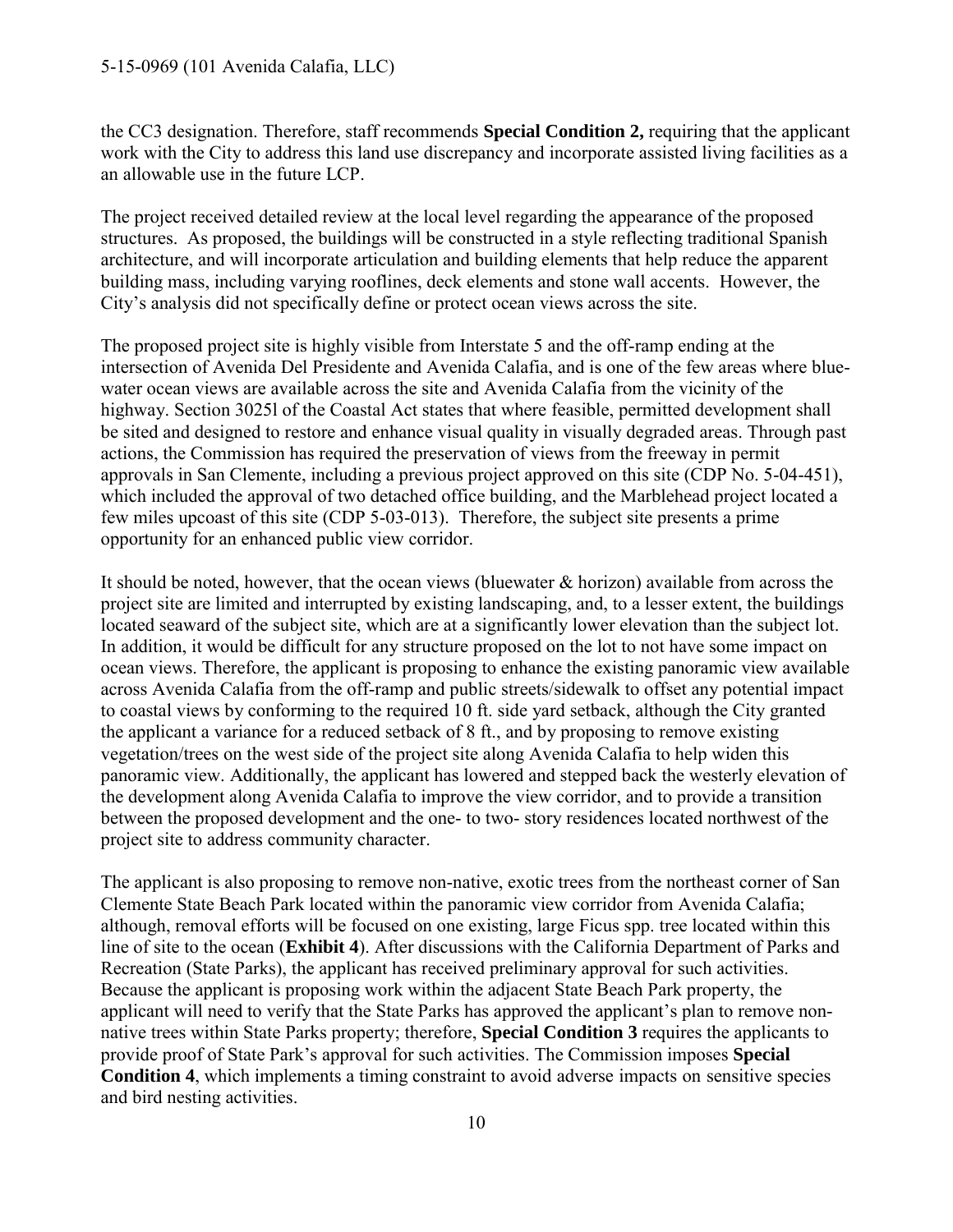#### 5-15-0969 (101 Avenida Calafia, LLC)

the CC3 designation. Therefore, staff recommends **Special Condition 2,** requiring that the applicant work with the City to address this land use discrepancy and incorporate assisted living facilities as a an allowable use in the future LCP.

The project received detailed review at the local level regarding the appearance of the proposed structures. As proposed, the buildings will be constructed in a style reflecting traditional Spanish architecture, and will incorporate articulation and building elements that help reduce the apparent building mass, including varying rooflines, deck elements and stone wall accents. However, the City's analysis did not specifically define or protect ocean views across the site.

The proposed project site is highly visible from Interstate 5 and the off-ramp ending at the intersection of Avenida Del Presidente and Avenida Calafia, and is one of the few areas where bluewater ocean views are available across the site and Avenida Calafia from the vicinity of the highway. Section 3025l of the Coastal Act states that where feasible, permitted development shall be sited and designed to restore and enhance visual quality in visually degraded areas. Through past actions, the Commission has required the preservation of views from the freeway in permit approvals in San Clemente, including a previous project approved on this site (CDP No. 5-04-451), which included the approval of two detached office building, and the Marblehead project located a few miles upcoast of this site (CDP 5-03-013). Therefore, the subject site presents a prime opportunity for an enhanced public view corridor.

It should be noted, however, that the ocean views (bluewater & horizon) available from across the project site are limited and interrupted by existing landscaping, and, to a lesser extent, the buildings located seaward of the subject site, which are at a significantly lower elevation than the subject lot. In addition, it would be difficult for any structure proposed on the lot to not have some impact on ocean views. Therefore, the applicant is proposing to enhance the existing panoramic view available across Avenida Calafia from the off-ramp and public streets/sidewalk to offset any potential impact to coastal views by conforming to the required 10 ft. side yard setback, although the City granted the applicant a variance for a reduced setback of 8 ft., and by proposing to remove existing vegetation/trees on the west side of the project site along Avenida Calafia to help widen this panoramic view. Additionally, the applicant has lowered and stepped back the westerly elevation of the development along Avenida Calafia to improve the view corridor, and to provide a transition between the proposed development and the one- to two- story residences located northwest of the project site to address community character.

The applicant is also proposing to remove non-native, exotic trees from the northeast corner of San Clemente State Beach Park located within the panoramic view corridor from Avenida Calafia; although, removal efforts will be focused on one existing, large Ficus spp. tree located within this line of site to the ocean (**[Exhibit 4](https://documents.coastal.ca.gov/reports/2017/5/F8h/F8h-5-2017-exhibits.pdf)**). After discussions with the California Department of Parks and Recreation (State Parks), the applicant has received preliminary approval for such activities. Because the applicant is proposing work within the adjacent State Beach Park property, the applicant will need to verify that the State Parks has approved the applicant's plan to remove nonnative trees within State Parks property; therefore, **Special Condition 3** requires the applicants to provide proof of State Park's approval for such activities. The Commission imposes **Special Condition 4**, which implements a timing constraint to avoid adverse impacts on sensitive species and bird nesting activities.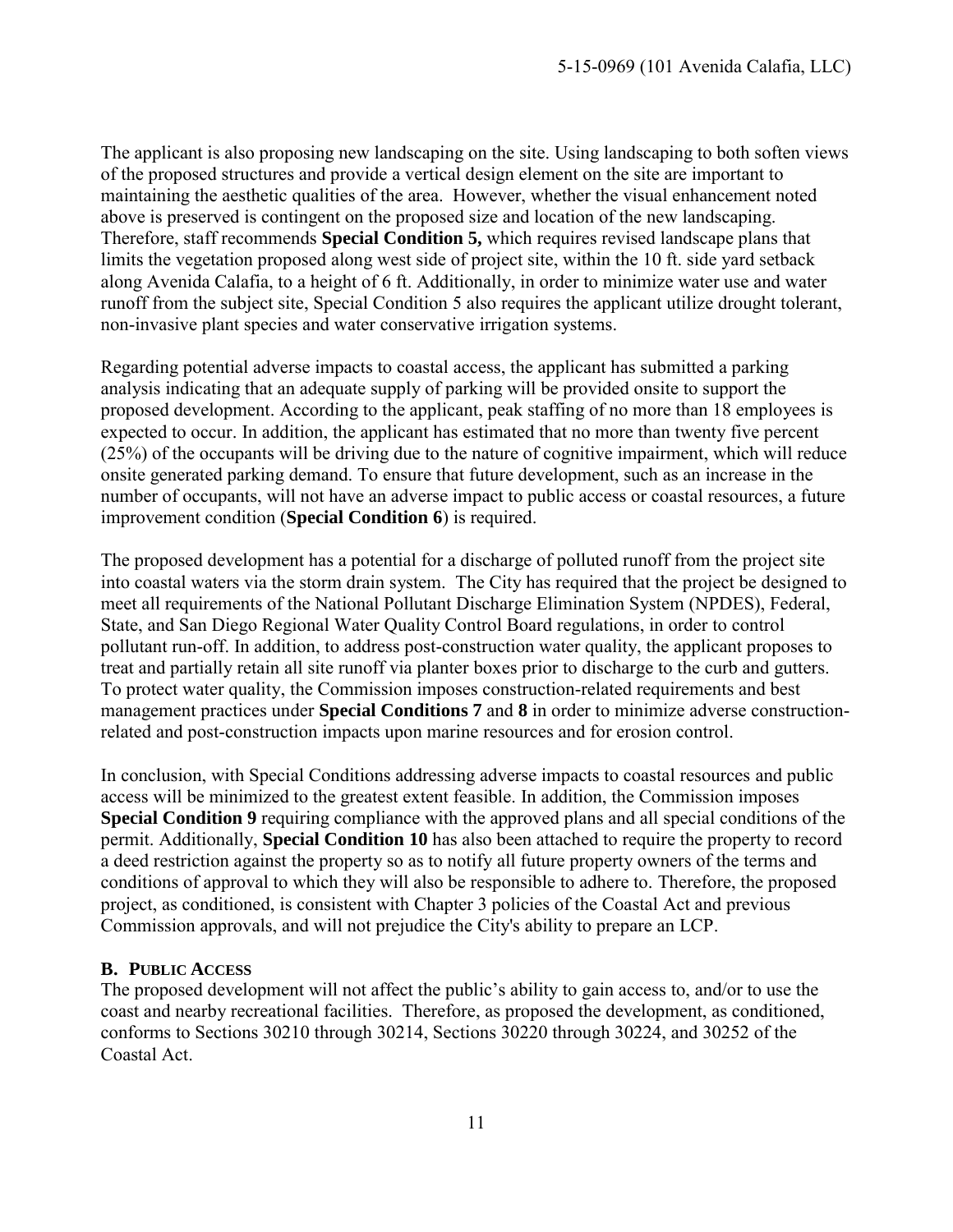The applicant is also proposing new landscaping on the site. Using landscaping to both soften views of the proposed structures and provide a vertical design element on the site are important to maintaining the aesthetic qualities of the area. However, whether the visual enhancement noted above is preserved is contingent on the proposed size and location of the new landscaping. Therefore, staff recommends **Special Condition 5,** which requires revised landscape plans that limits the vegetation proposed along west side of project site, within the 10 ft. side yard setback along Avenida Calafia, to a height of 6 ft. Additionally, in order to minimize water use and water runoff from the subject site, Special Condition 5 also requires the applicant utilize drought tolerant, non-invasive plant species and water conservative irrigation systems.

Regarding potential adverse impacts to coastal access, the applicant has submitted a parking analysis indicating that an adequate supply of parking will be provided onsite to support the proposed development. According to the applicant, peak staffing of no more than 18 employees is expected to occur. In addition, the applicant has estimated that no more than twenty five percent (25%) of the occupants will be driving due to the nature of cognitive impairment, which will reduce onsite generated parking demand. To ensure that future development, such as an increase in the number of occupants, will not have an adverse impact to public access or coastal resources, a future improvement condition (**Special Condition 6**) is required.

The proposed development has a potential for a discharge of polluted runoff from the project site into coastal waters via the storm drain system. The City has required that the project be designed to meet all requirements of the National Pollutant Discharge Elimination System (NPDES), Federal, State, and San Diego Regional Water Quality Control Board regulations, in order to control pollutant run-off. In addition, to address post-construction water quality, the applicant proposes to treat and partially retain all site runoff via planter boxes prior to discharge to the curb and gutters. To protect water quality, the Commission imposes construction-related requirements and best management practices under **Special Conditions 7** and **8** in order to minimize adverse constructionrelated and post-construction impacts upon marine resources and for erosion control.

In conclusion, with Special Conditions addressing adverse impacts to coastal resources and public access will be minimized to the greatest extent feasible. In addition, the Commission imposes **Special Condition 9** requiring compliance with the approved plans and all special conditions of the permit. Additionally, **Special Condition 10** has also been attached to require the property to record a deed restriction against the property so as to notify all future property owners of the terms and conditions of approval to which they will also be responsible to adhere to. Therefore, the proposed project, as conditioned, is consistent with Chapter 3 policies of the Coastal Act and previous Commission approvals, and will not prejudice the City's ability to prepare an LCP.

#### <span id="page-10-0"></span>**B. PUBLIC ACCESS**

The proposed development will not affect the public's ability to gain access to, and/or to use the coast and nearby recreational facilities. Therefore, as proposed the development, as conditioned, conforms to Sections 30210 through 30214, Sections 30220 through 30224, and 30252 of the Coastal Act.